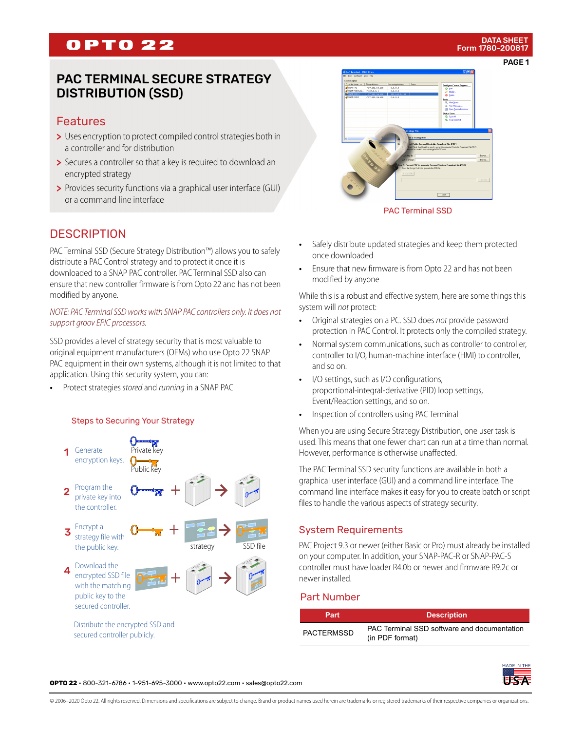## **OPTO 22**

## PAC TERMINAL SECURE STRATEGY DISTRIBUTION (SSD)

## Features

- > Uses encryption to protect compiled control strategies both in a controller and for distribution
- > Secures a controller so that a key is required to download an encrypted strategy
- > Provides security functions via a graphical user interface (GUI) or a command line interface

## **DESCRIPTION**

PAC Terminal SSD (Secure Strategy Distribution™) allows you to safely distribute a PAC Control strategy and to protect it once it is downloaded to a SNAP PAC controller. PAC Terminal SSD also can ensure that new controller firmware is from Opto 22 and has not been modified by anyone.

#### *NOTE: PAC Terminal SSD works with SNAP PAC controllers only. It does not support groov EPIC processors.*

SSD provides a level of strategy security that is most valuable to original equipment manufacturers (OEMs) who use Opto 22 SNAP PAC equipment in their own systems, although it is not limited to that application. Using this security system, you can:

**•** Protect strategies *stored* and *running* in a SNAP PAC

#### Steps to Securing Your Strategy





PAC Terminal SSD

- **•** Safely distribute updated strategies and keep them protected once downloaded
- **•** Ensure that new firmware is from Opto 22 and has not been modified by anyone

While this is a robust and effective system, here are some things this system will *not* protect:

- **•** Original strategies on a PC. SSD does *not* provide password protection in PAC Control. It protects only the compiled strategy.
- Normal system communications, such as controller to controller, controller to I/O, human-machine interface (HMI) to controller, and so on.
- **•** I/O settings, such as I/O configurations, proportional-integral-derivative (PID) loop settings, Event/Reaction settings, and so on.
- **•** Inspection of controllers using PAC Terminal

When you are using Secure Strategy Distribution, one user task is used. This means that one fewer chart can run at a time than normal. However, performance is otherwise unaffected.

The PAC Terminal SSD security functions are available in both a graphical user interface (GUI) and a command line interface. The command line interface makes it easy for you to create batch or script files to handle the various aspects of strategy security.

#### System Requirements

PAC Project 9.3 or newer (either Basic or Pro) must already be installed on your computer. In addition, your SNAP-PAC-R or SNAP-PAC-S controller must have loader R4.0b or newer and firmware R9.2c or newer installed.

#### Part Number

| Part              | <b>Description</b>                                             |
|-------------------|----------------------------------------------------------------|
| <b>PACTERMSSD</b> | PAC Terminal SSD software and documentation<br>(in PDF format) |

**OPTO 22** • 800-321-6786 • 1-951-695-3000 • www.opto22.com • sales@opto22.com

© 2006–2020 Opto 22. All rights reserved. Dimensions and specifications are subject to change. Brand or product names used herein are trademarks or registered trademarks of their respective companies or organizations.